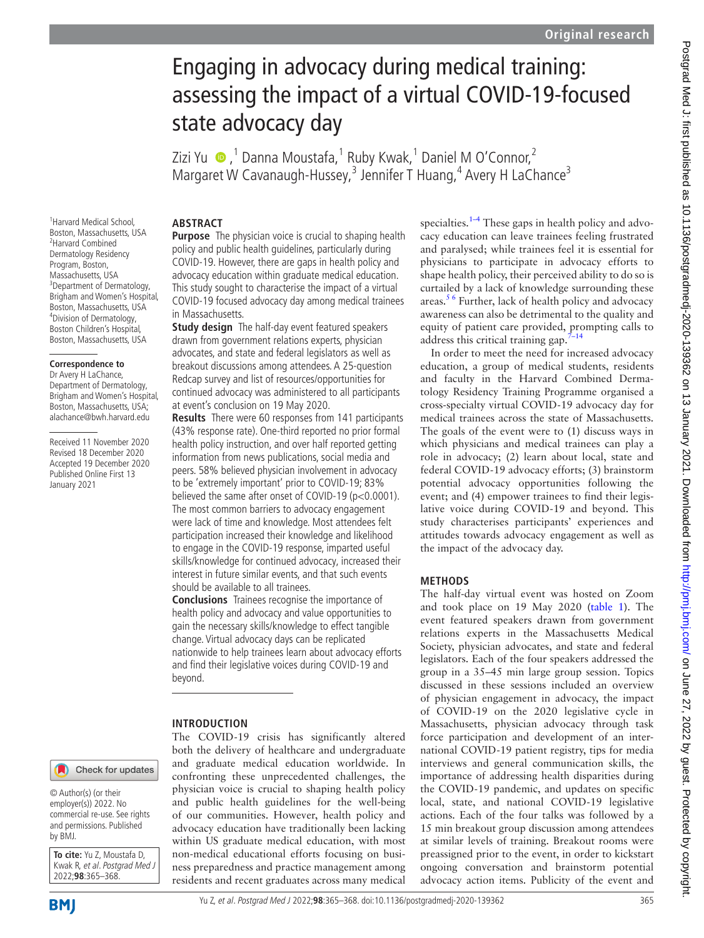# Engaging in advocacy during medical training: assessing the impact of a virtual COVID-19-focused state advocacy day

Zizi Yu ●,<sup>1</sup> Danna Moustafa,<sup>1</sup> Ruby Kwak,<sup>1</sup> Daniel M O'Connor,<sup>2</sup> Margaret W Cavanaugh-Hussey,<sup>3</sup> Jennifer T Huang,<sup>4</sup> Avery H LaChance<sup>3</sup>

## **ABSTRACT**

1 Harvard Medical School, Boston, Massachusetts, USA 2 Harvard Combined Dermatology Residency Program, Boston, Massachusetts, USA 3 Department of Dermatology, Brigham and Women's Hospital, Boston, Massachusetts, USA 4 Division of Dermatology, Boston Children's Hospital, Boston, Massachusetts, USA

#### **Correspondence to**

Dr Avery H LaChance, Department of Dermatology, Brigham and Women's Hospital, Boston, Massachusetts, USA; alachance@bwh.harvard.edu

Received 11 November 2020 Revised 18 December 2020 Accepted 19 December 2020 Published Online First 13 January 2021

**Purpose** The physician voice is crucial to shaping health policy and public health guidelines, particularly during COVID-19. However, there are gaps in health policy and advocacy education within graduate medical education. This study sought to characterise the impact of a virtual COVID-19 focused advocacy day among medical trainees in Massachusetts.

**Study design** The half-day event featured speakers drawn from government relations experts, physician advocates, and state and federal legislators as well as breakout discussions among attendees. A 25-question Redcap survey and list of resources/opportunities for continued advocacy was administered to all participants at event's conclusion on 19 May 2020.

**Results** There were 60 responses from 141 participants (43% response rate). One-third reported no prior formal health policy instruction, and over half reported getting information from news publications, social media and peers. 58% believed physician involvement in advocacy to be 'extremely important' prior to COVID-19; 83% believed the same after onset of COVID-19 (p<0.0001). The most common barriers to advocacy engagement were lack of time and knowledge. Most attendees felt participation increased their knowledge and likelihood to engage in the COVID-19 response, imparted useful skills/knowledge for continued advocacy, increased their interest in future similar events, and that such events should be available to all trainees.

**Conclusions** Trainees recognise the importance of health policy and advocacy and value opportunities to gain the necessary skills/knowledge to effect tangible change. Virtual advocacy days can be replicated nationwide to help trainees learn about advocacy efforts and find their legislative voices during COVID-19 and beyond.

## **INTRODUCTION**

The COVID-19 crisis has significantly altered both the delivery of healthcare and undergraduate and graduate medical education worldwide. In confronting these unprecedented challenges, the physician voice is crucial to shaping health policy and public health guidelines for the well-being of our communities. However, health policy and advocacy education have traditionally been lacking within US graduate medical education, with most non-medical educational efforts focusing on business preparedness and practice management among residents and recent graduates across many medical specialties. $1-4$  These gaps in health policy and advocacy education can leave trainees feeling frustrated and paralysed; while trainees feel it is essential for physicians to participate in advocacy efforts to shape health policy, their perceived ability to do so is curtailed by a lack of knowledge surrounding these areas.<sup>56</sup> Further, lack of health policy and advocacy awareness can also be detrimental to the quality and equity of patient care provided, prompting calls to address this critical training gap. $7-14$ 

In order to meet the need for increased advocacy education, a group of medical students, residents and faculty in the Harvard Combined Dermatology Residency Training Programme organised a cross-specialty virtual COVID-19 advocacy day for medical trainees across the state of Massachusetts. The goals of the event were to (1) discuss ways in which physicians and medical trainees can play a role in advocacy; (2) learn about local, state and federal COVID-19 advocacy efforts; (3) brainstorm potential advocacy opportunities following the event; and (4) empower trainees to find their legislative voice during COVID-19 and beyond. This study characterises participants' experiences and attitudes towards advocacy engagement as well as the impact of the advocacy day.

## **METHODS**

The half-day virtual event was hosted on Zoom and took place on 19 May 2020 ([table](#page-1-0) 1). The event featured speakers drawn from government relations experts in the Massachusetts Medical Society, physician advocates, and state and federal legislators. Each of the four speakers addressed the group in a 35–45 min large group session. Topics discussed in these sessions included an overview of physician engagement in advocacy, the impact of COVID-19 on the 2020 legislative cycle in Massachusetts, physician advocacy through task force participation and development of an international COVID-19 patient registry, tips for media interviews and general communication skills, the importance of addressing health disparities during the COVID-19 pandemic, and updates on specific local, state, and national COVID-19 legislative actions. Each of the four talks was followed by a 15 min breakout group discussion among attendees at similar levels of training. Breakout rooms were preassigned prior to the event, in order to kickstart ongoing conversation and brainstorm potential advocacy action items. Publicity of the event and

© Author(s) (or their employer(s)) 2022. No commercial re-use. See rights and permissions. Published by BMJ.

**To cite:** Yu Z, Moustafa D, Kwak R, et al. Postgrad Med J 2022;**98**:365–368.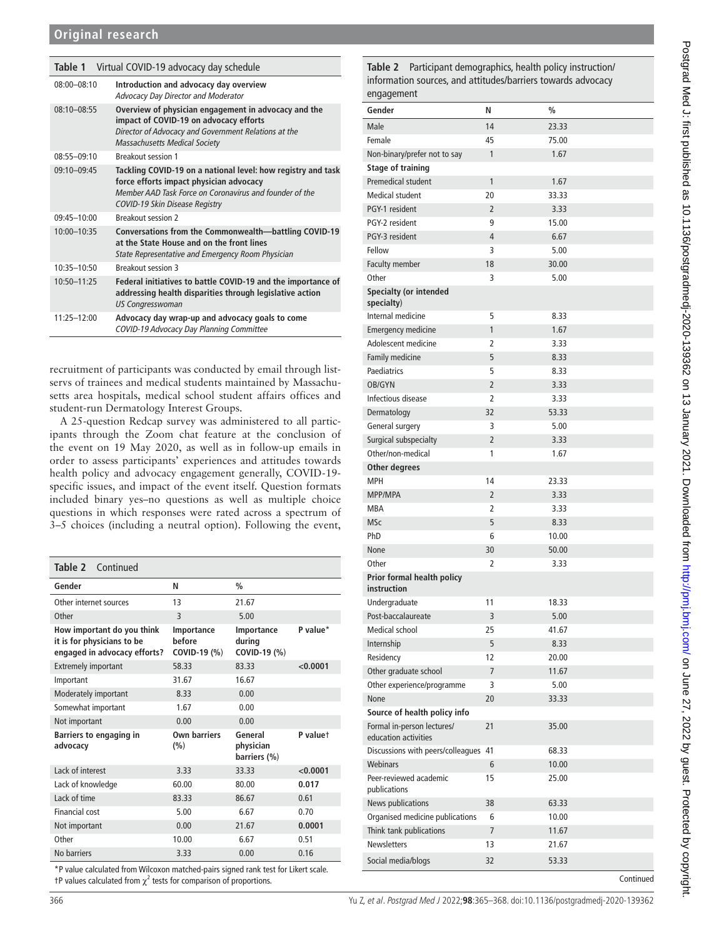<span id="page-1-0"></span>

| Virtual COVID-19 advocacy day schedule<br>Table 1 |                                                                                                                                                                                                             |  |  |
|---------------------------------------------------|-------------------------------------------------------------------------------------------------------------------------------------------------------------------------------------------------------------|--|--|
| $08:00 - 08:10$                                   | Introduction and advocacy day overview<br>Advocacy Day Director and Moderator                                                                                                                               |  |  |
| $08:10 - 08:55$                                   | Overview of physician engagement in advocacy and the<br>impact of COVID-19 on advocacy efforts<br>Director of Advocacy and Government Relations at the<br><b>Massachusetts Medical Society</b>              |  |  |
| 08:55-09:10                                       | <b>Breakout session 1</b>                                                                                                                                                                                   |  |  |
| 09:10-09:45                                       | Tackling COVID-19 on a national level: how registry and task<br>force efforts impact physician advocacy<br>Member AAD Task Force on Coronavirus and founder of the<br><b>COVID-19 Skin Disease Registry</b> |  |  |
| $09:45 - 10:00$                                   | <b>Breakout session 2</b>                                                                                                                                                                                   |  |  |
| 10:00-10:35                                       | Conversations from the Commonwealth-battling COVID-19<br>at the State House and on the front lines<br>State Representative and Emergency Room Physician                                                     |  |  |
| 10:35-10:50                                       | <b>Breakout session 3</b>                                                                                                                                                                                   |  |  |
| 10:50-11:25                                       | Federal initiatives to battle COVID-19 and the importance of<br>addressing health disparities through legislative action<br><b>US Congresswoman</b>                                                         |  |  |
| 11:25-12:00                                       | Advocacy day wrap-up and advocacy goals to come<br>COVID-19 Advocacy Day Planning Committee                                                                                                                 |  |  |

recruitment of participants was conducted by email through listservs of trainees and medical students maintained by Massachusetts area hospitals, medical school student affairs offices and student-run Dermatology Interest Groups.

A 25-question Redcap survey was administered to all participants through the Zoom chat feature at the conclusion of the event on 19 May 2020, as well as in follow-up emails in order to assess participants' experiences and attitudes towards health policy and advocacy engagement generally, COVID-19 specific issues, and impact of the event itself. Question formats included binary yes–no questions as well as multiple choice questions in which responses were rated across a spectrum of 3–5 choices (including a neutral option). Following the event,

**Table 2** Continued

| Gender                                                                                   | N                                    | $\frac{0}{0}$                        |          |
|------------------------------------------------------------------------------------------|--------------------------------------|--------------------------------------|----------|
| Other internet sources                                                                   | 13                                   | 21.67                                |          |
| Other                                                                                    | $\overline{\mathsf{B}}$              | 5.00                                 |          |
| How important do you think<br>it is for physicians to be<br>engaged in advocacy efforts? | Importance<br>hefore<br>COVID-19 (%) | Importance<br>during<br>COVID-19 (%) | P value* |
| <b>Extremely important</b>                                                               | 58.33                                | 83.33                                | < 0.0001 |
| Important                                                                                | 31.67                                | 16.67                                |          |
| Moderately important                                                                     | 8.33                                 | 0.00                                 |          |
| Somewhat important                                                                       | 1.67                                 | 0.00                                 |          |
| Not important                                                                            | 0.00                                 | 0.00                                 |          |
| Barriers to engaging in<br>advocacy                                                      | Own barriers<br>(%)                  | General<br>physician<br>barriers (%) | P valuet |
| Lack of interest                                                                         | 3.33                                 | 33.33                                | < 0.0001 |
| Lack of knowledge                                                                        | 60.00                                | 80.00                                | 0.017    |
| Lack of time                                                                             | 83.33                                | 86.67                                | 0.61     |
| Financial cost                                                                           | 5.00                                 | 6.67                                 | 0.70     |
| Not important                                                                            | 0.00                                 | 21.67                                | 0.0001   |
| Other                                                                                    | 10.00                                | 6.67                                 | 0.51     |
| No barriers                                                                              | 3.33                                 | 0.00                                 | 0.16     |
|                                                                                          |                                      |                                      |          |

\*P value calculated from Wilcoxon matched-pairs signed rank test for Likert scale.  $tP$  values calculated from  $\chi^2$  tests for comparison of proportions.

<span id="page-1-1"></span>**Table 2** Participant demographics, health policy instruction/ information sources, and attitudes/barriers towards advocacy engagement

| Gender                                             | N              | $\%$      |
|----------------------------------------------------|----------------|-----------|
| Male                                               | 14             | 23.33     |
| Female                                             | 45             | 75.00     |
| Non-binary/prefer not to say                       | $\mathbf{1}$   | 1.67      |
| <b>Stage of training</b>                           |                |           |
| Premedical student                                 | 1              | 1.67      |
| <b>Medical student</b>                             | 20             | 33.33     |
| PGY-1 resident                                     | $\overline{2}$ | 3.33      |
| PGY-2 resident                                     | 9              | 15.00     |
| PGY-3 resident                                     | 4              | 6.67      |
| Fellow                                             | 3              | 5.00      |
| Faculty member                                     | 18             | 30.00     |
| Other                                              | 3              | 5.00      |
| <b>Specialty (or intended</b><br>specialty)        |                |           |
| Internal medicine                                  | 5              | 8.33      |
| <b>Emergency medicine</b>                          | 1              | 1.67      |
| Adolescent medicine                                | 2              | 3.33      |
| Family medicine                                    | 5              | 8.33      |
| Paediatrics                                        | 5              | 8.33      |
| OB/GYN                                             | $\overline{2}$ | 3.33      |
| Infectious disease                                 | 2              | 3.33      |
| Dermatology                                        | 32             | 53.33     |
| General surgery                                    | 3              | 5.00      |
| Surgical subspecialty                              | $\overline{2}$ | 3.33      |
| Other/non-medical                                  | 1              | 1.67      |
| Other degrees                                      |                |           |
| <b>MPH</b>                                         | 14             | 23.33     |
| <b>MPP/MPA</b>                                     | 2              | 3.33      |
| <b>MBA</b>                                         | $\overline{2}$ | 3.33      |
| <b>MSc</b>                                         | 5              | 8.33      |
| PhD                                                | 6              | 10.00     |
| None                                               | 30             | 50.00     |
| Other                                              | 2              | 3.33      |
| Prior formal health policy<br>instruction          |                |           |
| Undergraduate                                      | 11             | 18.33     |
| Post-baccalaureate                                 | 3              | 5.00      |
| Medical school                                     | 25             | 41.67     |
| Internship                                         | 5              | 8.33      |
| Residency                                          | 12             | 20.00     |
| Other graduate school                              | 7              | 11.67     |
| Other experience/programme                         | 3              | 5.00      |
| None                                               | 20             | 33.33     |
| Source of health policy info                       |                |           |
| Formal in-person lectures/<br>education activities | 21             | 35.00     |
| Discussions with peers/colleagues 41               |                | 68.33     |
| Webinars                                           | 6              | 10.00     |
| Peer-reviewed academic<br>publications             | 15             | 25.00     |
| News publications                                  | 38             | 63.33     |
| Organised medicine publications                    | 6              | 10.00     |
| Think tank publications                            | $\overline{7}$ | 11.67     |
| <b>Newsletters</b>                                 | 13             | 21.67     |
| Social media/blogs                                 | 32             | 53.33     |
|                                                    |                | Continued |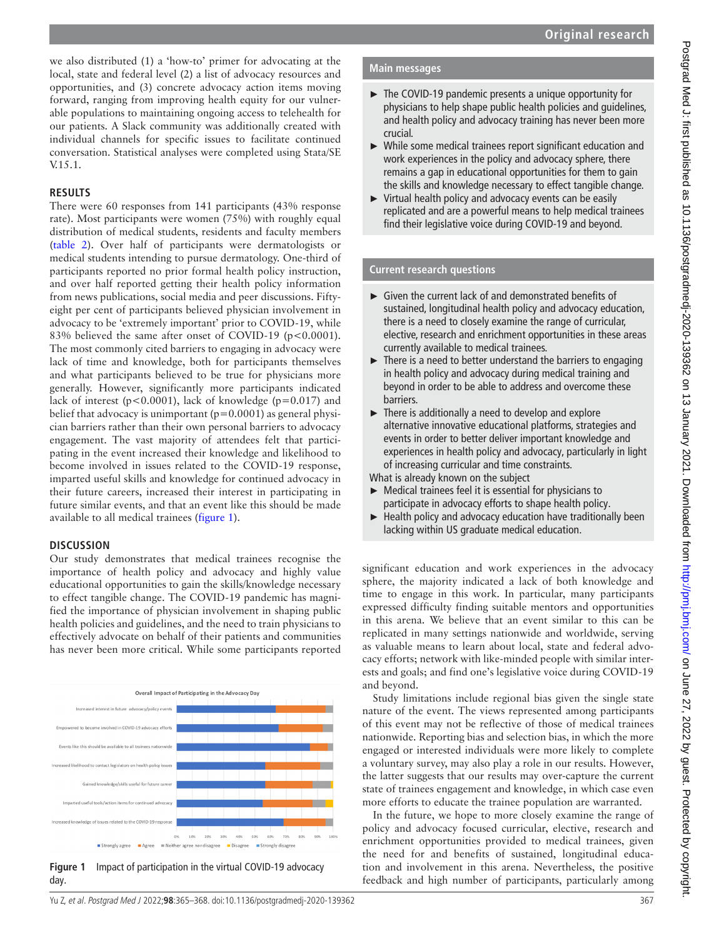we also distributed (1) a 'how-to' primer for advocating at the local, state and federal level (2) a list of advocacy resources and opportunities, and (3) concrete advocacy action items moving forward, ranging from improving health equity for our vulnerable populations to maintaining ongoing access to telehealth for our patients. A Slack community was additionally created with individual channels for specific issues to facilitate continued conversation. Statistical analyses were completed using Stata/SE V.15.1.

## **RESULTS**

There were 60 responses from 141 participants (43% response rate). Most participants were women (75%) with roughly equal distribution of medical students, residents and faculty members ([table](#page-1-1) 2). Over half of participants were dermatologists or medical students intending to pursue dermatology. One-third of participants reported no prior formal health policy instruction, and over half reported getting their health policy information from news publications, social media and peer discussions. Fiftyeight per cent of participants believed physician involvement in advocacy to be 'extremely important' prior to COVID-19, while 83% believed the same after onset of COVID-19 (p<0.0001). The most commonly cited barriers to engaging in advocacy were lack of time and knowledge, both for participants themselves and what participants believed to be true for physicians more generally. However, significantly more participants indicated lack of interest ( $p < 0.0001$ ), lack of knowledge ( $p = 0.017$ ) and belief that advocacy is unimportant  $(p=0.0001)$  as general physician barriers rather than their own personal barriers to advocacy engagement. The vast majority of attendees felt that participating in the event increased their knowledge and likelihood to become involved in issues related to the COVID-19 response, imparted useful skills and knowledge for continued advocacy in their future careers, increased their interest in participating in future similar events, and that an event like this should be made available to all medical trainees ([figure](#page-2-0) 1).

# **DISCUSSION**

Our study demonstrates that medical trainees recognise the importance of health policy and advocacy and highly value educational opportunities to gain the skills/knowledge necessary to effect tangible change. The COVID-19 pandemic has magnified the importance of physician involvement in shaping public health policies and guidelines, and the need to train physicians to effectively advocate on behalf of their patients and communities has never been more critical. While some participants reported

<span id="page-2-0"></span>

# **Main messages**

- ► The COVID-19 pandemic presents a unique opportunity for physicians to help shape public health policies and guidelines, and health policy and advocacy training has never been more crucial.
- ► While some medical trainees report significant education and work experiences in the policy and advocacy sphere, there remains a gap in educational opportunities for them to gain the skills and knowledge necessary to effect tangible change.
- ► Virtual health policy and advocacy events can be easily replicated and are a powerful means to help medical trainees find their legislative voice during COVID-19 and beyond.

# **Current research questions**

- ► Given the current lack of and demonstrated benefits of sustained, longitudinal health policy and advocacy education, there is a need to closely examine the range of curricular, elective, research and enrichment opportunities in these areas currently available to medical trainees.
- ► There is a need to better understand the barriers to engaging in health policy and advocacy during medical training and beyond in order to be able to address and overcome these barriers.
- $\blacktriangleright$  There is additionally a need to develop and explore alternative innovative educational platforms, strategies and events in order to better deliver important knowledge and experiences in health policy and advocacy, particularly in light of increasing curricular and time constraints.
- What is already known on the subject
- ► Medical trainees feel it is essential for physicians to participate in advocacy efforts to shape health policy.
- ► Health policy and advocacy education have traditionally been lacking within US graduate medical education.

significant education and work experiences in the advocacy sphere, the majority indicated a lack of both knowledge and time to engage in this work. In particular, many participants expressed difficulty finding suitable mentors and opportunities in this arena. We believe that an event similar to this can be replicated in many settings nationwide and worldwide, serving as valuable means to learn about local, state and federal advocacy efforts; network with like-minded people with similar interests and goals; and find one's legislative voice during COVID-19 and beyond.

Study limitations include regional bias given the single state nature of the event. The views represented among participants of this event may not be reflective of those of medical trainees nationwide. Reporting bias and selection bias, in which the more engaged or interested individuals were more likely to complete a voluntary survey, may also play a role in our results. However, the latter suggests that our results may over-capture the current state of trainees engagement and knowledge, in which case even more efforts to educate the trainee population are warranted.

In the future, we hope to more closely examine the range of policy and advocacy focused curricular, elective, research and enrichment opportunities provided to medical trainees, given the need for and benefits of sustained, longitudinal education and involvement in this arena. Nevertheless, the positive feedback and high number of participants, particularly among